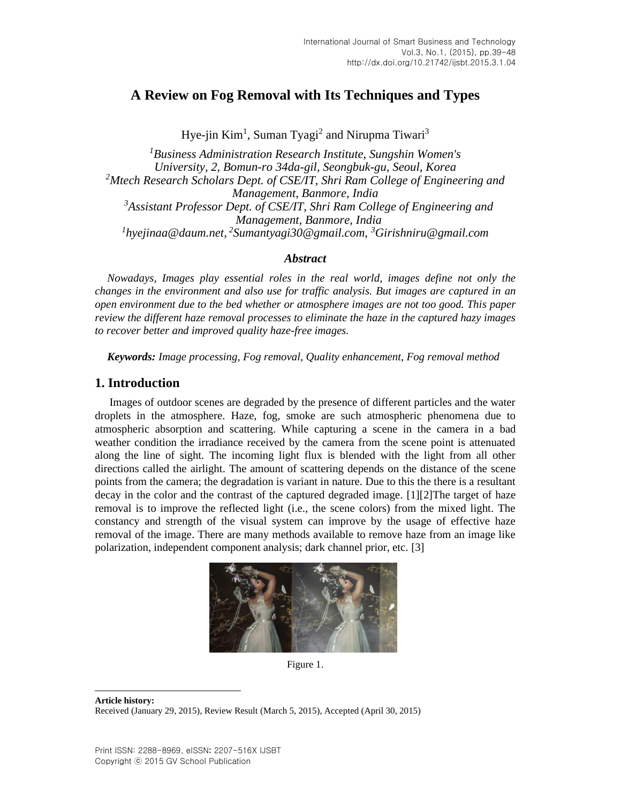# **A Review on Fog Removal with Its Techniques and Types**

Hye-jin Kim<sup>1</sup>, Suman Tyagi<sup>2</sup> and Nirupma Tiwari<sup>3</sup>

*<sup>1</sup>Business Administration Research Institute, Sungshin Women's University, 2, Bomun-ro 34da-gil, Seongbuk-gu, Seoul, Korea <sup>2</sup>Mtech Research Scholars Dept. of CSE/IT, Shri Ram College of Engineering and Management, Banmore, India <sup>3</sup>Assistant Professor Dept. of CSE/IT, Shri Ram College of Engineering and Management, Banmore, India 1 hyejinaa@daum.net, 2 Sumantyagi30@gmail.com, <sup>3</sup>Girishniru@gmail.com*

### *Abstract*

*Nowadays, Images play essential roles in the real world, images define not only the changes in the environment and also use for traffic analysis. But images are captured in an open environment due to the bed whether or atmosphere images are not too good. This paper review the different haze removal processes to eliminate the haze in the captured hazy images to recover better and improved quality haze-free images.*

*Keywords: Image processing, Fog removal, Quality enhancement, Fog removal method*

# **1. Introduction**

Images of outdoor scenes are degraded by the presence of different particles and the water droplets in the atmosphere. Haze, fog, smoke are such atmospheric phenomena due to atmospheric absorption and scattering. While capturing a scene in the camera in a bad weather condition the irradiance received by the camera from the scene point is attenuated along the line of sight. The incoming light flux is blended with the light from all other directions called the airlight. The amount of scattering depends on the distance of the scene points from the camera; the degradation is variant in nature. Due to this the there is a resultant decay in the color and the contrast of the captured degraded image. [\[1\]](#page-8-0)[\[2\]T](#page-8-1)he target of haze removal is to improve the reflected light (i.e., the scene colors) from the mixed light. The constancy and strength of the visual system can improve by the usage of effective haze removal of the image. There are many methods available to remove haze from an image like polarization, independent component analysis; dark channel prior, etc. [\[3\]](#page-8-2)



Figure 1.

**Article history:** Received (January 29, 2015), Review Result (March 5, 2015), Accepted (April 30, 2015)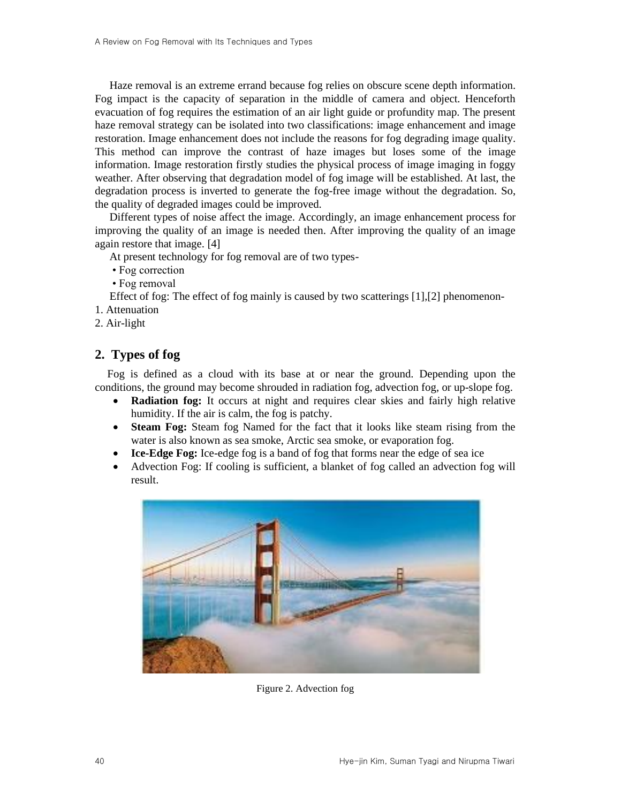Haze removal is an extreme errand because fog relies on obscure scene depth information. Fog impact is the capacity of separation in the middle of camera and object. Henceforth evacuation of fog requires the estimation of an air light guide or profundity map. The present haze removal strategy can be isolated into two classifications: image enhancement and image restoration. Image enhancement does not include the reasons for fog degrading image quality. This method can improve the contrast of haze images but loses some of the image information. Image restoration firstly studies the physical process of image imaging in foggy weather. After observing that degradation model of fog image will be established. At last, the degradation process is inverted to generate the fog-free image without the degradation. So, the quality of degraded images could be improved.

Different types of noise affect the image. Accordingly, an image enhancement process for improving the quality of an image is needed then. After improving the quality of an image again restore that image. [\[4\]](#page-8-3)

At present technology for fog removal are of two types-

- Fog correction
- Fog removal

Effect of fog: The effect of fog mainly is caused by two scatterings  $[1],[2]$  $[1],[2]$  phenomenon-

- 1. Attenuation
- 2. Air-light

# **2. Types of fog**

Fog is defined as a cloud with its base at or near the ground. Depending upon the conditions, the ground may become shrouded in radiation fog, advection fog, or up-slope fog.

- **Radiation fog:** It occurs at night and requires clear skies and fairly high relative humidity. If the air is calm, the fog is patchy.
- **Steam Fog:** Steam fog Named for the fact that it looks like steam rising from the water is also known as sea smoke, Arctic sea smoke, or evaporation fog.
- **Ice-Edge Fog:** Ice-edge fog is a band of fog that forms near the edge of sea ice
- Advection Fog: If cooling is sufficient, a blanket of fog called an advection fog will result.



Figure 2. Advection fog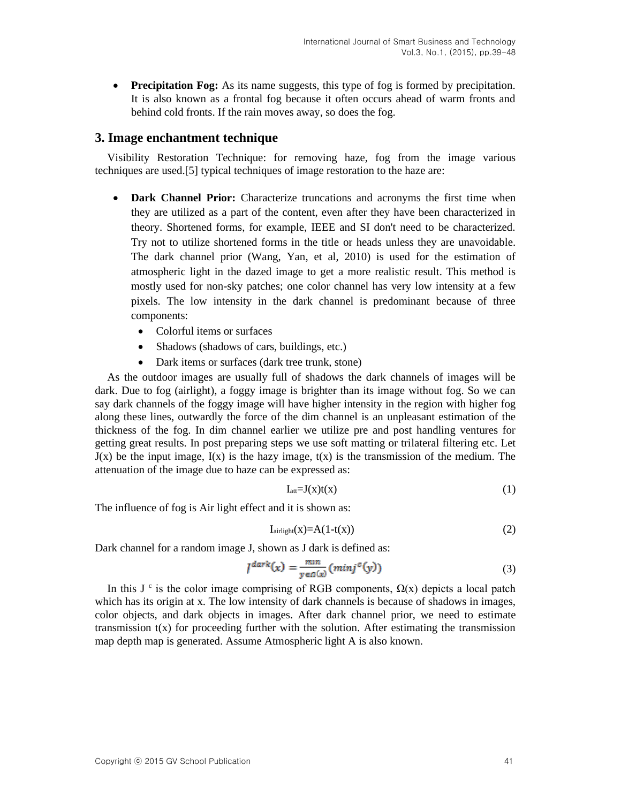• **Precipitation Fog:** As its name suggests, this type of fog is formed by precipitation. It is also known as a frontal fog because it often occurs ahead of warm fronts and behind cold fronts. If the rain moves away, so does the fog.

#### **3. Image enchantment technique**

Visibility Restoration Technique: for removing haze, fog from the image various techniques are used[.\[5\]](#page-8-4) typical techniques of image restoration to the haze are:

- **Dark Channel Prior:** Characterize truncations and acronyms the first time when they are utilized as a part of the content, even after they have been characterized in theory. Shortened forms, for example, IEEE and SI don't need to be characterized. Try not to utilize shortened forms in the title or heads unless they are unavoidable. The dark channel prior (Wang, Yan, et al, 2010) is used for the estimation of atmospheric light in the dazed image to get a more realistic result. This method is mostly used for non-sky patches; one color channel has very low intensity at a few pixels. The low intensity in the dark channel is predominant because of three components:
	- Colorful items or surfaces
	- Shadows (shadows of cars, buildings, etc.)
	- Dark items or surfaces (dark tree trunk, stone)

As the outdoor images are usually full of shadows the dark channels of images will be dark. Due to fog (airlight), a foggy image is brighter than its image without fog. So we can say dark channels of the foggy image will have higher intensity in the region with higher fog along these lines, outwardly the force of the dim channel is an unpleasant estimation of the thickness of the fog. In dim channel earlier we utilize pre and post handling ventures for getting great results. In post preparing steps we use soft matting or trilateral filtering etc. Let  $J(x)$  be the input image,  $I(x)$  is the hazy image,  $t(x)$  is the transmission of the medium. The attenuation of the image due to haze can be expressed as:

$$
I_{att} = J(x)t(x) \tag{1}
$$

The influence of fog is Air light effect and it is shown as:

$$
I_{\text{airlight}}(x) = A(1-t(x))\tag{2}
$$

Dark channel for a random image J, shown as J dark is defined as:

$$
I^{dark}(x) = \frac{mn}{y \in \Omega(x)} (minj^{c}(y))
$$
\n(3)

In this J<sup>c</sup> is the color image comprising of RGB components,  $\Omega(x)$  depicts a local patch which has its origin at x. The low intensity of dark channels is because of shadows in images, color objects, and dark objects in images. After dark channel prior, we need to estimate transmission  $t(x)$  for proceeding further with the solution. After estimating the transmission map depth map is generated. Assume Atmospheric light A is also known.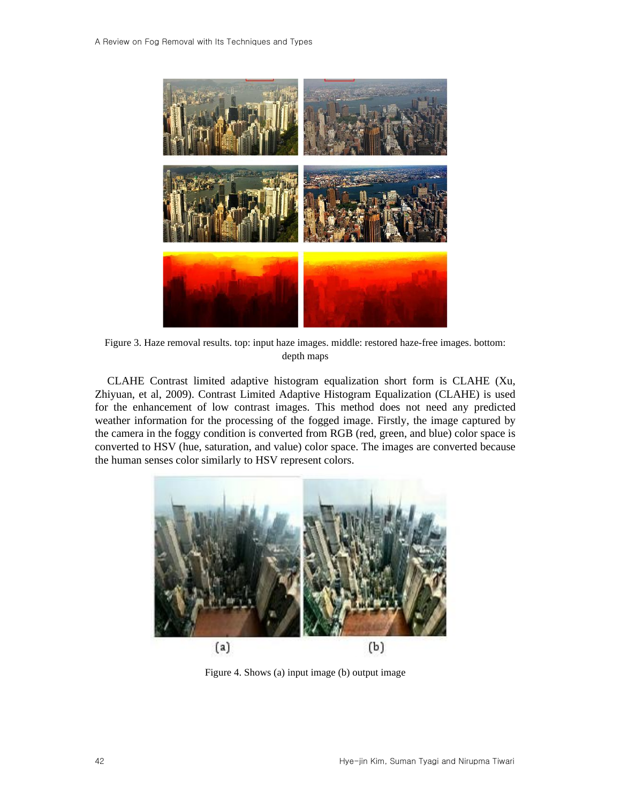

Figure 3. Haze removal results. top: input haze images. middle: restored haze-free images. bottom: depth maps

CLAHE Contrast limited adaptive histogram equalization short form is CLAHE (Xu, Zhiyuan, et al, 2009). Contrast Limited Adaptive Histogram Equalization (CLAHE) is used for the enhancement of low contrast images. This method does not need any predicted weather information for the processing of the fogged image. Firstly, the image captured by the camera in the foggy condition is converted from RGB (red, green, and blue) color space is converted to HSV (hue, saturation, and value) color space. The images are converted because the human senses color similarly to HSV represent colors.



Figure 4. Shows (a) input image (b) output image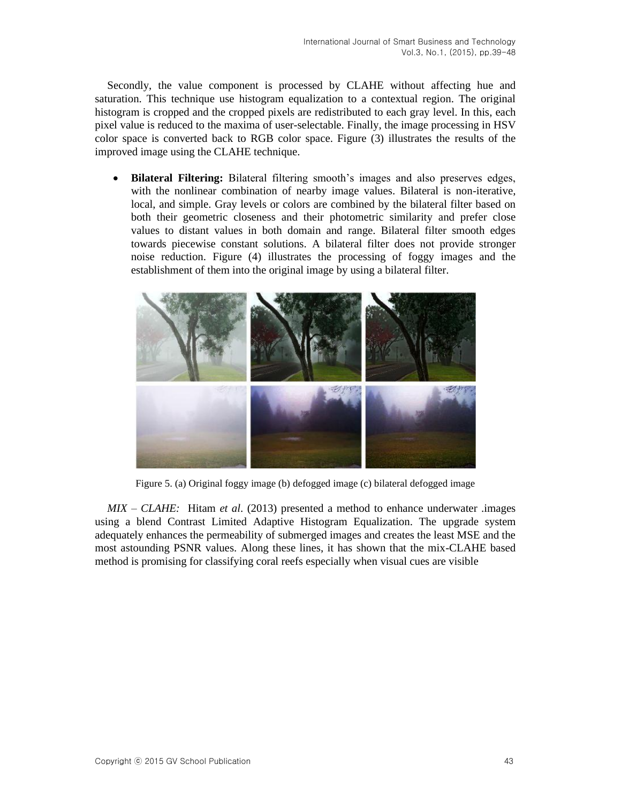Secondly, the value component is processed by CLAHE without affecting hue and saturation. This technique use histogram equalization to a contextual region. The original histogram is cropped and the cropped pixels are redistributed to each gray level. In this, each pixel value is reduced to the maxima of user-selectable. Finally, the image processing in HSV color space is converted back to RGB color space. Figure (3) illustrates the results of the improved image using the CLAHE technique.

• **Bilateral Filtering:** Bilateral filtering smooth's images and also preserves edges, with the nonlinear combination of nearby image values. Bilateral is non-iterative, local, and simple. Gray levels or colors are combined by the bilateral filter based on both their geometric closeness and their photometric similarity and prefer close values to distant values in both domain and range. Bilateral filter smooth edges towards piecewise constant solutions. A bilateral filter does not provide stronger noise reduction. Figure (4) illustrates the processing of foggy images and the establishment of them into the original image by using a bilateral filter.



Figure 5. (a) Original foggy image (b) defogged image (c) bilateral defogged image

*MIX – CLAHE:* Hitam *et al*. (2013) presented a method to enhance underwater .images using a blend Contrast Limited Adaptive Histogram Equalization. The upgrade system adequately enhances the permeability of submerged images and creates the least MSE and the most astounding PSNR values. Along these lines, it has shown that the mix-CLAHE based method is promising for classifying coral reefs especially when visual cues are visible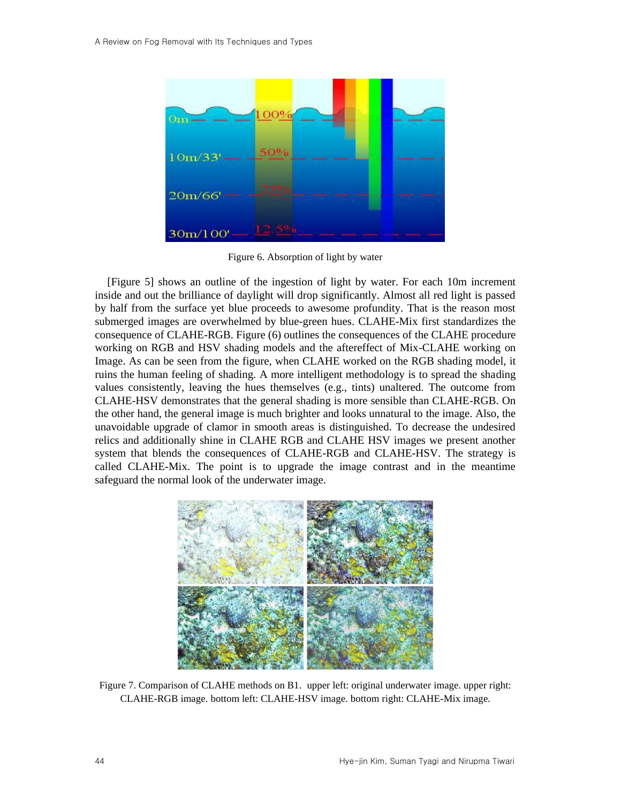|             | 00%   |
|-------------|-------|
| $10m/33'$ - | 50%   |
| 20m/66'     |       |
| 30m/100'    | 12.5% |

Figure 6. Absorption of light by water

[Figure 5] shows an outline of the ingestion of light by water. For each 10m increment inside and out the brilliance of daylight will drop significantly. Almost all red light is passed by half from the surface yet blue proceeds to awesome profundity. That is the reason most submerged images are overwhelmed by blue-green hues. CLAHE-Mix first standardizes the consequence of CLAHE-RGB. Figure (6) outlines the consequences of the CLAHE procedure working on RGB and HSV shading models and the aftereffect of Mix-CLAHE working on Image. As can be seen from the figure, when CLAHE worked on the RGB shading model, it ruins the human feeling of shading. A more intelligent methodology is to spread the shading values consistently, leaving the hues themselves (e.g., tints) unaltered. The outcome from CLAHE-HSV demonstrates that the general shading is more sensible than CLAHE-RGB. On the other hand, the general image is much brighter and looks unnatural to the image. Also, the unavoidable upgrade of clamor in smooth areas is distinguished. To decrease the undesired relics and additionally shine in CLAHE RGB and CLAHE HSV images we present another system that blends the consequences of CLAHE-RGB and CLAHE-HSV. The strategy is called CLAHE-Mix. The point is to upgrade the image contrast and in the meantime safeguard the normal look of the underwater image.



Figure 7. Comparison of CLAHE methods on B1. upper left: original underwater image. upper right: CLAHE-RGB image. bottom left: CLAHE-HSV image. bottom right: CLAHE-Mix image.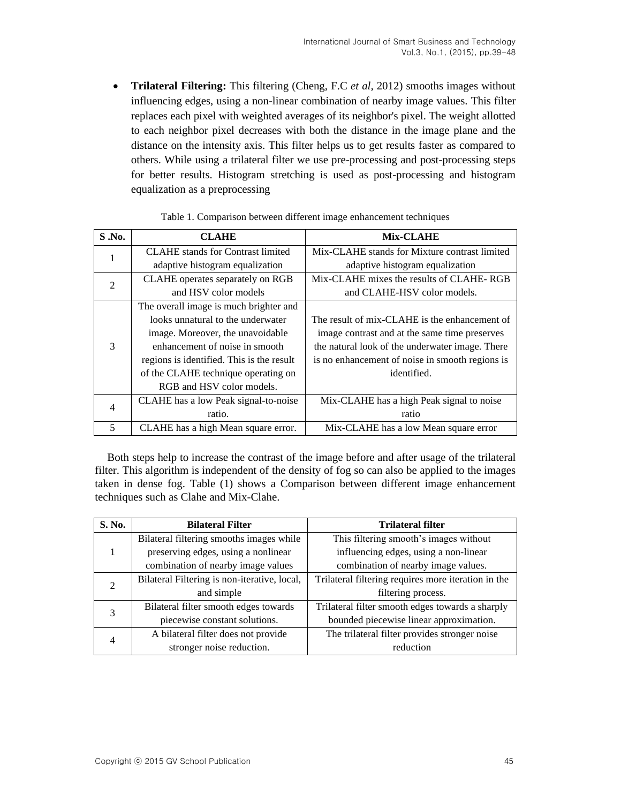• **Trilateral Filtering:** This filtering (Cheng, F.C *et al,* 2012) smooths images without influencing edges, using a non-linear combination of nearby image values. This filter replaces each pixel with weighted averages of its neighbor's pixel. The weight allotted to each neighbor pixel decreases with both the distance in the image plane and the distance on the intensity axis. This filter helps us to get results faster as compared to others. While using a trilateral filter we use pre-processing and post-processing steps for better results. Histogram stretching is used as post-processing and histogram equalization as a preprocessing

| S.No.          | <b>CLAHE</b>                              | Mix-CLAHE                                       |
|----------------|-------------------------------------------|-------------------------------------------------|
|                | <b>CLAHE</b> stands for Contrast limited  | Mix-CLAHE stands for Mixture contrast limited   |
|                | adaptive histogram equalization           | adaptive histogram equalization                 |
| $\mathcal{L}$  | CLAHE operates separately on RGB          | Mix-CLAHE mixes the results of CLAHE-RGB        |
|                | and HSV color models                      | and CLAHE-HSV color models.                     |
| $\mathcal{E}$  | The overall image is much brighter and    |                                                 |
|                | looks unnatural to the underwater         | The result of mix-CLAHE is the enhancement of   |
|                | image. Moreover, the unavoidable          | image contrast and at the same time preserves   |
|                | enhancement of noise in smooth            | the natural look of the underwater image. There |
|                | regions is identified. This is the result | is no enhancement of noise in smooth regions is |
|                | of the CLAHE technique operating on       | identified.                                     |
|                | RGB and HSV color models.                 |                                                 |
| $\overline{4}$ | CLAHE has a low Peak signal-to-noise      | Mix-CLAHE has a high Peak signal to noise       |
|                | ratio.                                    | ratio                                           |
| 5              | CLAHE has a high Mean square error.       | Mix-CLAHE has a low Mean square error           |

| Table 1. Comparison between different image enhancement techniques |  |
|--------------------------------------------------------------------|--|
|                                                                    |  |

Both steps help to increase the contrast of the image before and after usage of the trilateral filter. This algorithm is independent of the density of fog so can also be applied to the images taken in dense fog. Table (1) shows a Comparison between different image enhancement techniques such as Clahe and Mix-Clahe.

| S. No.        | <b>Bilateral Filter</b>                      | <b>Trilateral filter</b>                            |
|---------------|----------------------------------------------|-----------------------------------------------------|
|               | Bilateral filtering smooths images while     | This filtering smooth's images without              |
|               | preserving edges, using a nonlinear          | influencing edges, using a non-linear               |
|               | combination of nearby image values           | combination of nearby image values.                 |
| $\mathcal{D}$ | Bilateral Filtering is non-iterative, local, | Trilateral filtering requires more iteration in the |
|               | and simple                                   | filtering process.                                  |
| 3             | Bilateral filter smooth edges towards        | Trilateral filter smooth edges towards a sharply    |
|               | piecewise constant solutions.                | bounded piecewise linear approximation.             |
| 4             | A bilateral filter does not provide          | The trilateral filter provides stronger noise       |
|               | stronger noise reduction.                    | reduction                                           |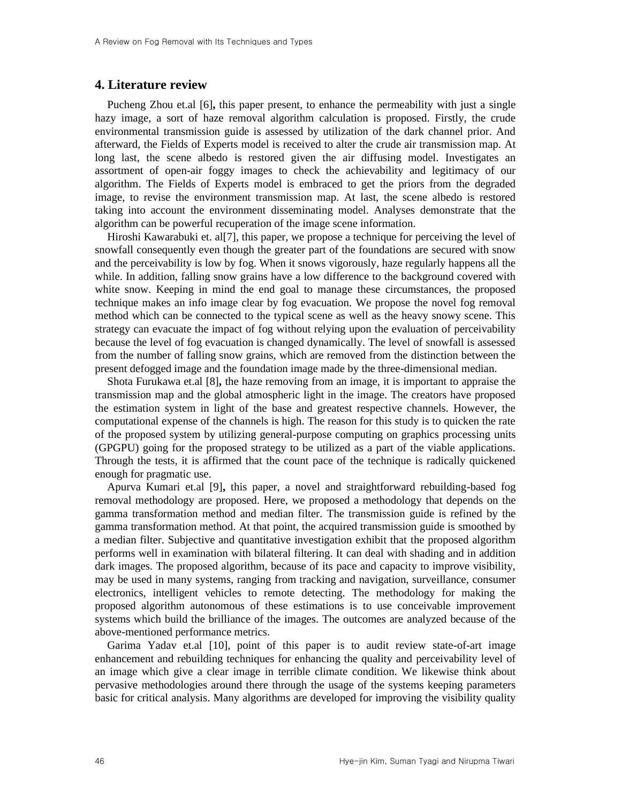## **4. Literature review**

Pucheng Zhou et.al [\[6\]](#page-8-5)**,** this paper present, to enhance the permeability with just a single hazy image, a sort of haze removal algorithm calculation is proposed. Firstly, the crude environmental transmission guide is assessed by utilization of the dark channel prior. And afterward, the Fields of Experts model is received to alter the crude air transmission map. At long last, the scene albedo is restored given the air diffusing model. Investigates an assortment of open-air foggy images to check the achievability and legitimacy of our algorithm. The Fields of Experts model is embraced to get the priors from the degraded image, to revise the environment transmission map. At last, the scene albedo is restored taking into account the environment disseminating model. Analyses demonstrate that the algorithm can be powerful recuperation of the image scene information.

Hiroshi Kawarabuki et. a[l\[7\],](#page-9-0) this paper, we propose a technique for perceiving the level of snowfall consequently even though the greater part of the foundations are secured with snow and the perceivability is low by fog. When it snows vigorously, haze regularly happens all the while. In addition, falling snow grains have a low difference to the background covered with white snow. Keeping in mind the end goal to manage these circumstances, the proposed technique makes an info image clear by fog evacuation. We propose the novel fog removal method which can be connected to the typical scene as well as the heavy snowy scene. This strategy can evacuate the impact of fog without relying upon the evaluation of perceivability because the level of fog evacuation is changed dynamically. The level of snowfall is assessed from the number of falling snow grains, which are removed from the distinction between the present defogged image and the foundation image made by the three-dimensional median.

Shota Furukawa et.al [\[8\]](#page-9-1)**,** the haze removing from an image, it is important to appraise the transmission map and the global atmospheric light in the image. The creators have proposed the estimation system in light of the base and greatest respective channels. However, the computational expense of the channels is high. The reason for this study is to quicken the rate of the proposed system by utilizing general-purpose computing on graphics processing units (GPGPU) going for the proposed strategy to be utilized as a part of the viable applications. Through the tests, it is affirmed that the count pace of the technique is radically quickened enough for pragmatic use.

Apurva Kumari et.al [\[9\]](#page-9-2)**,** this paper, a novel and straightforward rebuilding-based fog removal methodology are proposed. Here, we proposed a methodology that depends on the gamma transformation method and median filter. The transmission guide is refined by the gamma transformation method. At that point, the acquired transmission guide is smoothed by a median filter. Subjective and quantitative investigation exhibit that the proposed algorithm performs well in examination with bilateral filtering. It can deal with shading and in addition dark images. The proposed algorithm, because of its pace and capacity to improve visibility, may be used in many systems, ranging from tracking and navigation, surveillance, consumer electronics, intelligent vehicles to remote detecting. The methodology for making the proposed algorithm autonomous of these estimations is to use conceivable improvement systems which build the brilliance of the images. The outcomes are analyzed because of the above-mentioned performance metrics.

Garima Yadav et.al [\[10\],](#page-9-3) point of this paper is to audit review state-of-art image enhancement and rebuilding techniques for enhancing the quality and perceivability level of an image which give a clear image in terrible climate condition. We likewise think about pervasive methodologies around there through the usage of the systems keeping parameters basic for critical analysis. Many algorithms are developed for improving the visibility quality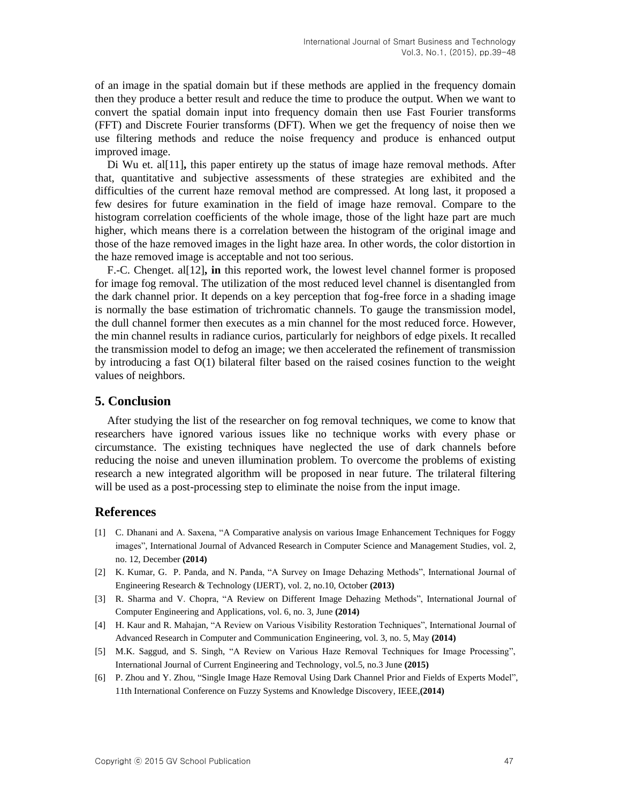of an image in the spatial domain but if these methods are applied in the frequency domain then they produce a better result and reduce the time to produce the output. When we want to convert the spatial domain input into frequency domain then use Fast Fourier transforms (FFT) and Discrete Fourier transforms (DFT). When we get the frequency of noise then we use filtering methods and reduce the noise frequency and produce is enhanced output improved image.

Di Wu et. a[l\[11\]](#page-9-4)**,** this paper entirety up the status of image haze removal methods. After that, quantitative and subjective assessments of these strategies are exhibited and the difficulties of the current haze removal method are compressed. At long last, it proposed a few desires for future examination in the field of image haze removal. Compare to the histogram correlation coefficients of the whole image, those of the light haze part are much higher, which means there is a correlation between the histogram of the original image and those of the haze removed images in the light haze area. In other words, the color distortion in the haze removed image is acceptable and not too serious.

F.-C. Chenget. a[l\[12\]](#page-9-5)**, in** this reported work, the lowest level channel former is proposed for image fog removal. The utilization of the most reduced level channel is disentangled from the dark channel prior. It depends on a key perception that fog-free force in a shading image is normally the base estimation of trichromatic channels. To gauge the transmission model, the dull channel former then executes as a min channel for the most reduced force. However, the min channel results in radiance curios, particularly for neighbors of edge pixels. It recalled the transmission model to defog an image; we then accelerated the refinement of transmission by introducing a fast O(1) bilateral filter based on the raised cosines function to the weight values of neighbors.

### **5. Conclusion**

After studying the list of the researcher on fog removal techniques, we come to know that researchers have ignored various issues like no technique works with every phase or circumstance. The existing techniques have neglected the use of dark channels before reducing the noise and uneven illumination problem. To overcome the problems of existing research a new integrated algorithm will be proposed in near future. The trilateral filtering will be used as a post-processing step to eliminate the noise from the input image.

#### **References**

- <span id="page-8-0"></span>[1] C. Dhanani and A. Saxena, "A Comparative analysis on various Image Enhancement Techniques for Foggy images", International Journal of Advanced Research in Computer Science and Management Studies, vol. 2, no. 12, December **(2014)**
- <span id="page-8-1"></span>[2] K. Kumar, G. P. Panda, and N. Panda, "A Survey on Image Dehazing Methods", International Journal of Engineering Research & Technology (IJERT), vol. 2, no.10, October **(2013)**
- <span id="page-8-2"></span>[3] R. Sharma and V. Chopra, "A Review on Different Image Dehazing Methods", International Journal of Computer Engineering and Applications, vol. 6, no. 3, June **(2014)**
- <span id="page-8-3"></span>[4] H. Kaur and R. Mahajan, "A Review on Various Visibility Restoration Techniques", International Journal of Advanced Research in Computer and Communication Engineering, vol. 3, no. 5, May **(2014)**
- <span id="page-8-4"></span>[5] M.K. Saggud, and S. Singh, "A Review on Various Haze Removal Techniques for Image Processing", International Journal of Current Engineering and Technology, vol.5, no.3 June **(2015)**
- <span id="page-8-5"></span>[6] P. Zhou and Y. Zhou, "Single Image Haze Removal Using Dark Channel Prior and Fields of Experts Model", 11th International Conference on Fuzzy Systems and Knowledge Discovery, IEEE,**(2014)**